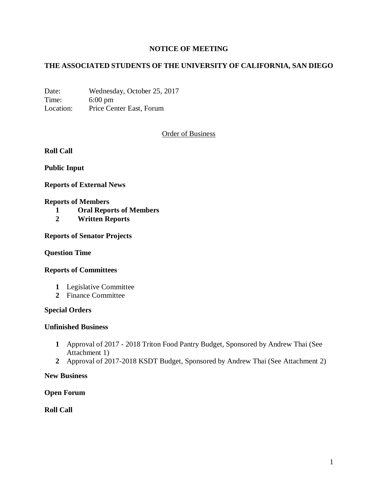# **NOTICE OF MEETING**

# **THE ASSOCIATED STUDENTS OF THE UNIVERSITY OF CALIFORNIA, SAN DIEGO**

Date: Wednesday, October 25, 2017 Time: 6:00 pm Location: Price Center East, Forum

Order of Business

**Roll Call**

**Public Input**

**Reports of External News**

#### **Reports of Members**

- **1 Oral Reports of Members**
- **2 Written Reports**

**Reports of Senator Projects**

#### **Question Time**

#### **Reports of Committees**

- **1** Legislative Committee
- **2** Finance Committee

### **Special Orders**

#### **Unfinished Business**

- **1** Approval of 2017 2018 Triton Food Pantry Budget, Sponsored by Andrew Thai (See Attachment 1)
- **2** Approval of 2017-2018 KSDT Budget, Sponsored by Andrew Thai (See Attachment 2)

#### **New Business**

#### **Open Forum**

**Roll Call**